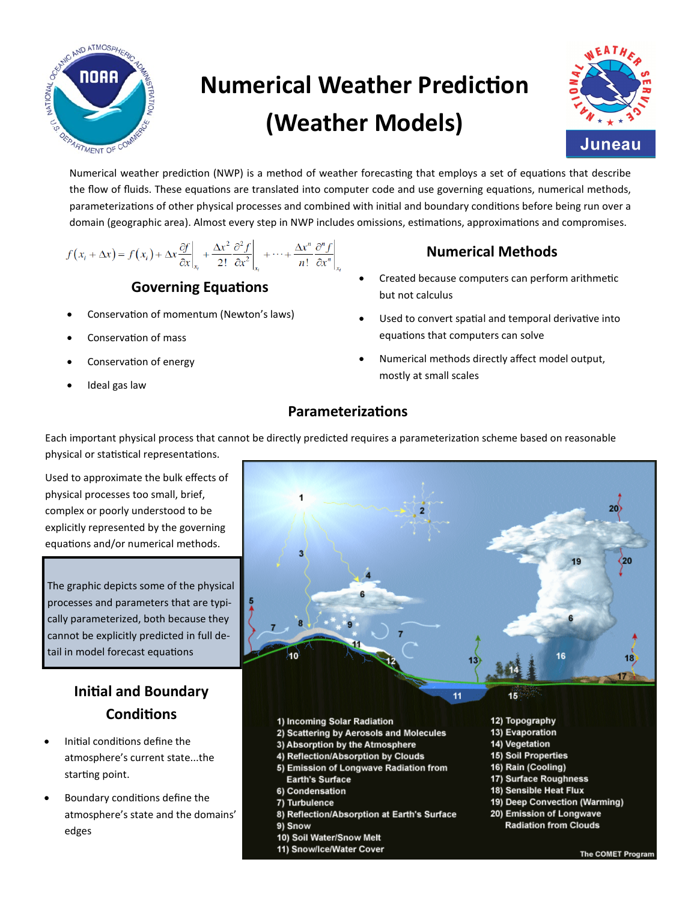

# **Numerical Weather Prediction (Weather Models)**



Numerical weather prediction (NWP) is a method of weather forecasting that employs a set of equations that describe the flow of fluids. These equations are translated into computer code and use governing equations, numerical methods, parameterizations of other physical processes and combined with initial and boundary conditions before being run over a domain (geographic area). Almost every step in NWP includes omissions, estimations, approximations and compromises.

$$
f(x_i + \Delta x) = f(x_i) + \Delta x \frac{\partial f}{\partial x}\bigg|_{x_i} + \frac{\Delta x^2}{2!} \frac{\partial^2 f}{\partial x^2}\bigg|_{x_i} + \dots + \frac{\Delta x^n}{n!} \frac{\partial^n f}{\partial x^n}
$$

#### **Governing Equations**

- Conservation of momentum (Newton's laws)
- Conservation of mass
- Conservation of energy
- Ideal gas law

#### **Numerical Methods**

- Created because computers can perform arithmetic but not calculus
- Used to convert spatial and temporal derivative into equations that computers can solve
- Numerical methods directly affect model output, mostly at small scales

#### **Parameterizations**

Each important physical process that cannot be directly predicted requires a parameterization scheme based on reasonable physical or statistical representations.

Used to approximate the bulk effects of physical processes too small, brief, complex or poorly understood to be explicitly represented by the governing equations and/or numerical methods.

The graphic depicts some of the physical processes and parameters that are typically parameterized, both because they cannot be explicitly predicted in full detail in model forecast equations

### **Initial and Boundary Conditions**

- Initial conditions define the atmosphere's current state...the starting point.
- Boundary conditions define the atmosphere's state and the domains' edges